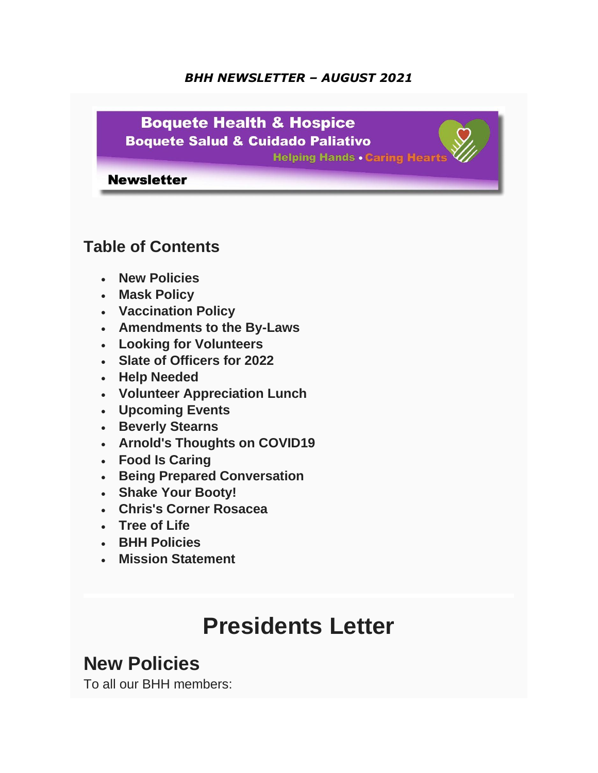#### *BHH NEWSLETTER – AUGUST 2021*



### **Table of Contents**

- **New Policies**
- **Mask Policy**
- **Vaccination Policy**
- **Amendments to the By-Laws**
- **Looking for Volunteers**
- **Slate of Officers for 2022**
- **Help Needed**
- **Volunteer Appreciation Lunch**
- **Upcoming Events**
- **Beverly Stearns**
- **Arnold's Thoughts on COVID19**
- **Food Is Caring**
- **Being Prepared Conversation**
- **Shake Your Booty!**
- **Chris's Corner Rosacea**
- **Tree of Life**
- **BHH Policies**
- **Mission Statement**

# **Presidents Letter**

## **New Policies**

To all our BHH members: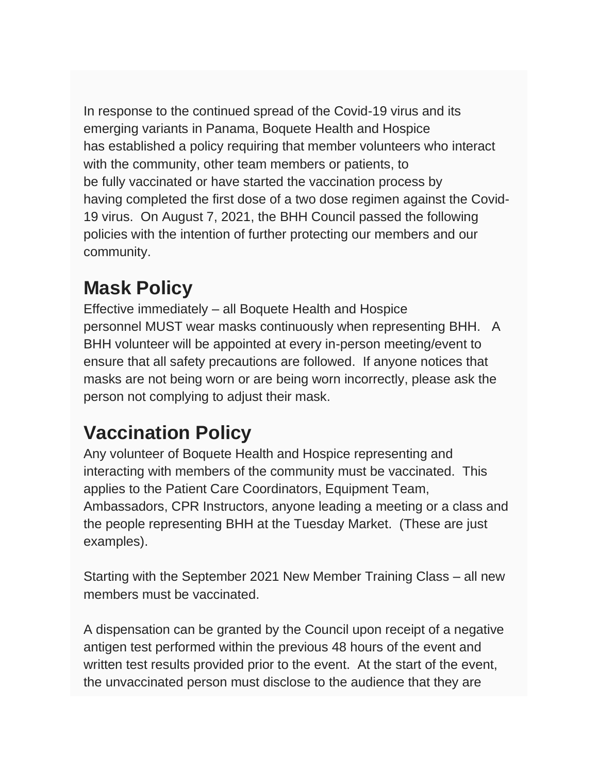In response to the continued spread of the Covid-19 virus and its emerging variants in Panama, Boquete Health and Hospice has established a policy requiring that member volunteers who interact with the community, other team members or patients, to be fully vaccinated or have started the vaccination process by having completed the first dose of a two dose regimen against the Covid-19 virus. On August 7, 2021, the BHH Council passed the following policies with the intention of further protecting our members and our community.

## **Mask Policy**

Effective immediately – all Boquete Health and Hospice personnel MUST wear masks continuously when representing BHH. A BHH volunteer will be appointed at every in-person meeting/event to ensure that all safety precautions are followed. If anyone notices that masks are not being worn or are being worn incorrectly, please ask the person not complying to adjust their mask.

## **Vaccination Policy**

Any volunteer of Boquete Health and Hospice representing and interacting with members of the community must be vaccinated. This applies to the Patient Care Coordinators, Equipment Team, Ambassadors, CPR Instructors, anyone leading a meeting or a class and the people representing BHH at the Tuesday Market. (These are just examples).

Starting with the September 2021 New Member Training Class – all new members must be vaccinated.

A dispensation can be granted by the Council upon receipt of a negative antigen test performed within the previous 48 hours of the event and written test results provided prior to the event. At the start of the event, the unvaccinated person must disclose to the audience that they are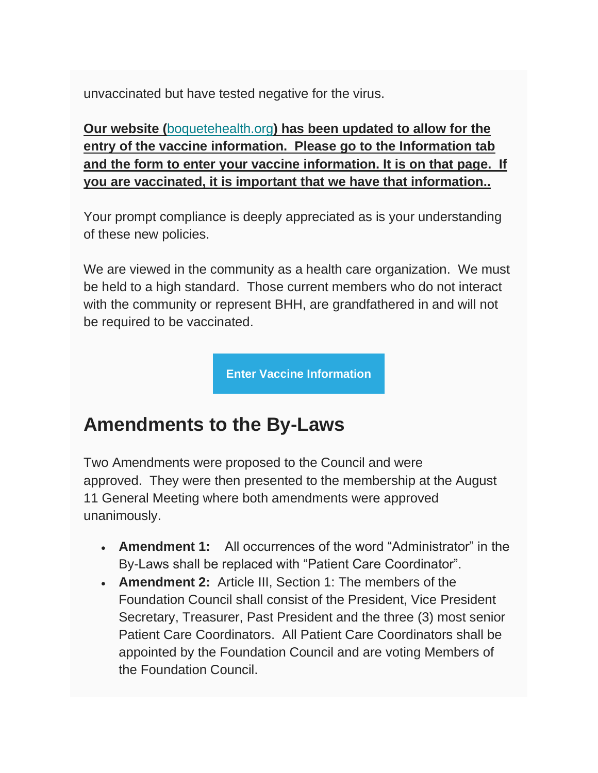unvaccinated but have tested negative for the virus.

**Our website (**[boquetehealth.org](https://www.boquetehealthandhospice.org/form-vaccine.html)**) has been updated to allow for the entry of the vaccine information. Please go to the Information tab and the form to enter your vaccine information. It is on that page. If you are vaccinated, it is important that we have that information..**

Your prompt compliance is deeply appreciated as is your understanding of these new policies.

We are viewed in the community as a health care organization. We must be held to a high standard. Those current members who do not interact with the community or represent BHH, are grandfathered in and will not be required to be vaccinated.

**[Enter Vaccine Information](https://www.boquetehealthandhospice.org/form-vaccine.html)**

## **Amendments to the By-Laws**

Two Amendments were proposed to the Council and were approved. They were then presented to the membership at the August 11 General Meeting where both amendments were approved unanimously.

- **Amendment 1:** All occurrences of the word "Administrator" in the By-Laws shall be replaced with "Patient Care Coordinator".
- **Amendment 2:** Article III, Section 1: The members of the Foundation Council shall consist of the President, Vice President Secretary, Treasurer, Past President and the three (3) most senior Patient Care Coordinators. All Patient Care Coordinators shall be appointed by the Foundation Council and are voting Members of the Foundation Council.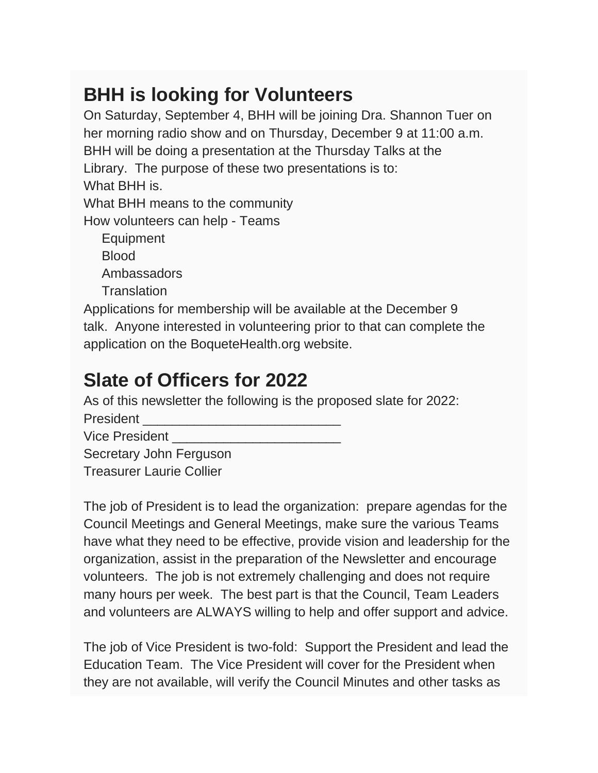## **BHH is looking for Volunteers**

On Saturday, September 4, BHH will be joining Dra. Shannon Tuer on her morning radio show and on Thursday, December 9 at 11:00 a.m. BHH will be doing a presentation at the Thursday Talks at the Library. The purpose of these two presentations is to: What BHH is. What BHH means to the community How volunteers can help - Teams Equipment Blood Ambassadors **Translation** Applications for membership will be available at the December 9

talk. Anyone interested in volunteering prior to that can complete the application on the BoqueteHealth.org website.

## **Slate of Officers for 2022**

As of this newsletter the following is the proposed slate for 2022:

President

Vice President

Secretary John Ferguson

Treasurer Laurie Collier

The job of President is to lead the organization: prepare agendas for the Council Meetings and General Meetings, make sure the various Teams have what they need to be effective, provide vision and leadership for the organization, assist in the preparation of the Newsletter and encourage volunteers. The job is not extremely challenging and does not require many hours per week. The best part is that the Council, Team Leaders and volunteers are ALWAYS willing to help and offer support and advice.

The job of Vice President is two-fold: Support the President and lead the Education Team. The Vice President will cover for the President when they are not available, will verify the Council Minutes and other tasks as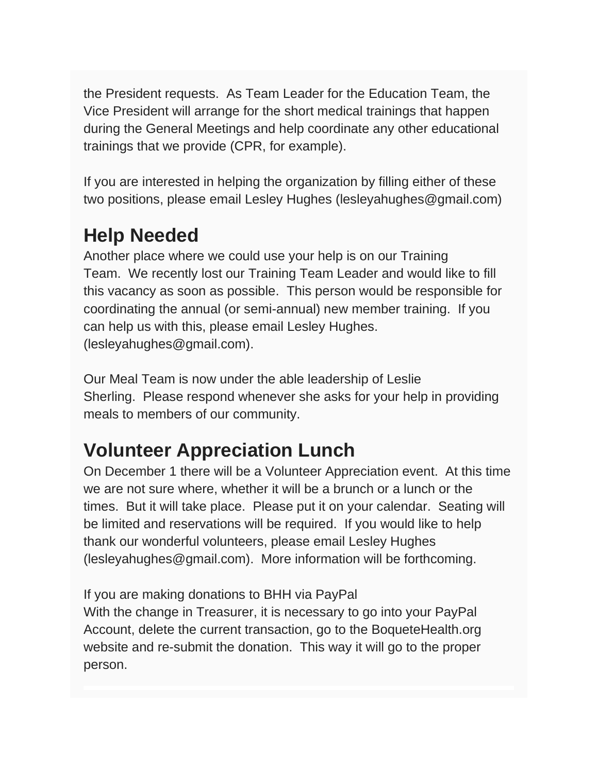the President requests. As Team Leader for the Education Team, the Vice President will arrange for the short medical trainings that happen during the General Meetings and help coordinate any other educational trainings that we provide (CPR, for example).

If you are interested in helping the organization by filling either of these two positions, please email Lesley Hughes (lesleyahughes@gmail.com)

## **Help Needed**

Another place where we could use your help is on our Training Team. We recently lost our Training Team Leader and would like to fill this vacancy as soon as possible. This person would be responsible for coordinating the annual (or semi-annual) new member training. If you can help us with this, please email Lesley Hughes. (lesleyahughes@gmail.com).

Our Meal Team is now under the able leadership of Leslie Sherling. Please respond whenever she asks for your help in providing meals to members of our community.

## **Volunteer Appreciation Lunch**

On December 1 there will be a Volunteer Appreciation event. At this time we are not sure where, whether it will be a brunch or a lunch or the times. But it will take place. Please put it on your calendar. Seating will be limited and reservations will be required. If you would like to help thank our wonderful volunteers, please email Lesley Hughes (lesleyahughes@gmail.com). More information will be forthcoming.

If you are making donations to BHH via PayPal

With the change in Treasurer, it is necessary to go into your PayPal Account, delete the current transaction, go to the BoqueteHealth.org website and re-submit the donation. This way it will go to the proper person.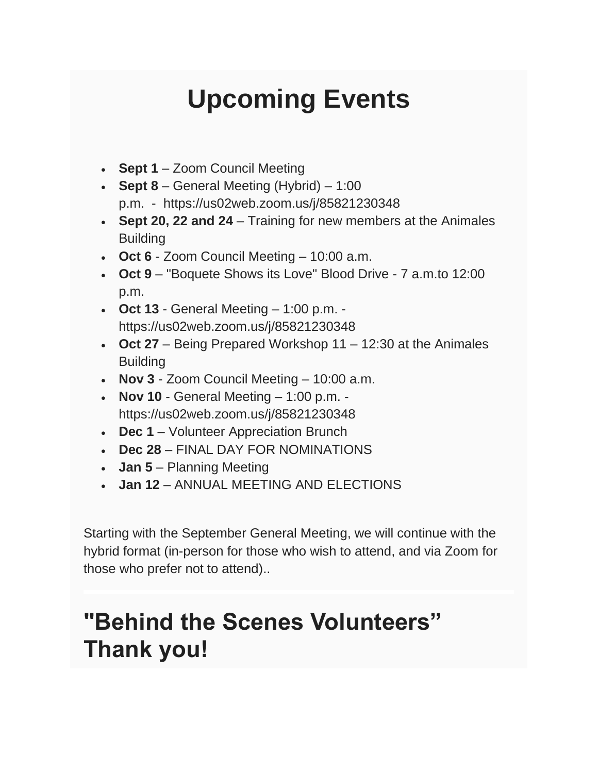# **Upcoming Events**

- **Sept 1** Zoom Council Meeting
- **Sept 8** General Meeting (Hybrid) 1:00 p.m. - https://us02web.zoom.us/j/85821230348
- **Sept 20, 22 and 24** Training for new members at the Animales **Building**
- **Oct 6** Zoom Council Meeting 10:00 a.m.
- **Oct 9** "Boquete Shows its Love" Blood Drive 7 a.m.to 12:00 p.m.
- **Oct 13** General Meeting 1:00 p.m. https://us02web.zoom.us/j/85821230348
- **Oct 27** Being Prepared Workshop 11 12:30 at the Animales **Building**
- **Nov 3** Zoom Council Meeting 10:00 a.m.
- **Nov 10** General Meeting 1:00 p.m. https://us02web.zoom.us/j/85821230348
- **Dec 1** Volunteer Appreciation Brunch
- **Dec 28** FINAL DAY FOR NOMINATIONS
- **Jan 5** Planning Meeting
- **Jan 12** ANNUAL MEETING AND ELECTIONS

Starting with the September General Meeting, we will continue with the hybrid format (in-person for those who wish to attend, and via Zoom for those who prefer not to attend)..

# **"Behind the Scenes Volunteers" Thank you!**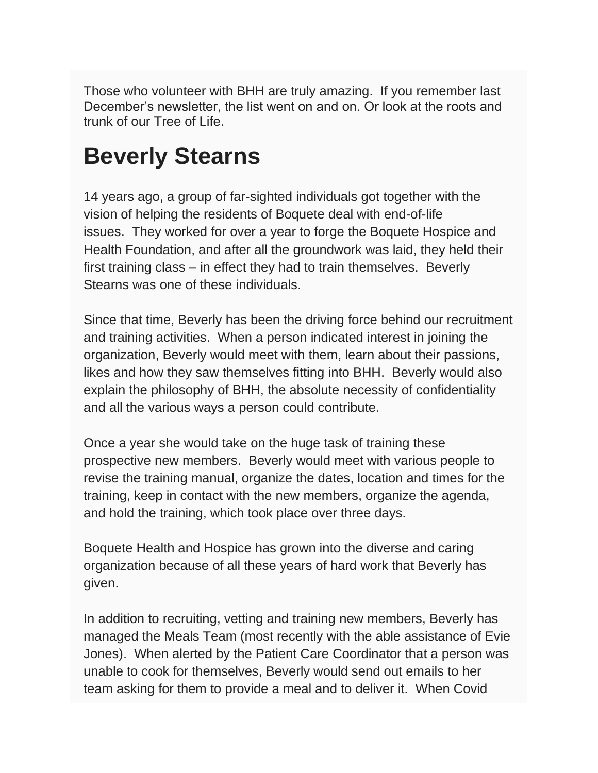Those who volunteer with BHH are truly amazing. If you remember last December's newsletter, the list went on and on. Or look at the roots and trunk of our Tree of Life.

# **Beverly Stearns**

14 years ago, a group of far-sighted individuals got together with the vision of helping the residents of Boquete deal with end-of-life issues. They worked for over a year to forge the Boquete Hospice and Health Foundation, and after all the groundwork was laid, they held their first training class – in effect they had to train themselves. Beverly Stearns was one of these individuals.

Since that time, Beverly has been the driving force behind our recruitment and training activities. When a person indicated interest in joining the organization, Beverly would meet with them, learn about their passions, likes and how they saw themselves fitting into BHH. Beverly would also explain the philosophy of BHH, the absolute necessity of confidentiality and all the various ways a person could contribute.

Once a year she would take on the huge task of training these prospective new members. Beverly would meet with various people to revise the training manual, organize the dates, location and times for the training, keep in contact with the new members, organize the agenda, and hold the training, which took place over three days.

Boquete Health and Hospice has grown into the diverse and caring organization because of all these years of hard work that Beverly has given.

In addition to recruiting, vetting and training new members, Beverly has managed the Meals Team (most recently with the able assistance of Evie Jones). When alerted by the Patient Care Coordinator that a person was unable to cook for themselves, Beverly would send out emails to her team asking for them to provide a meal and to deliver it. When Covid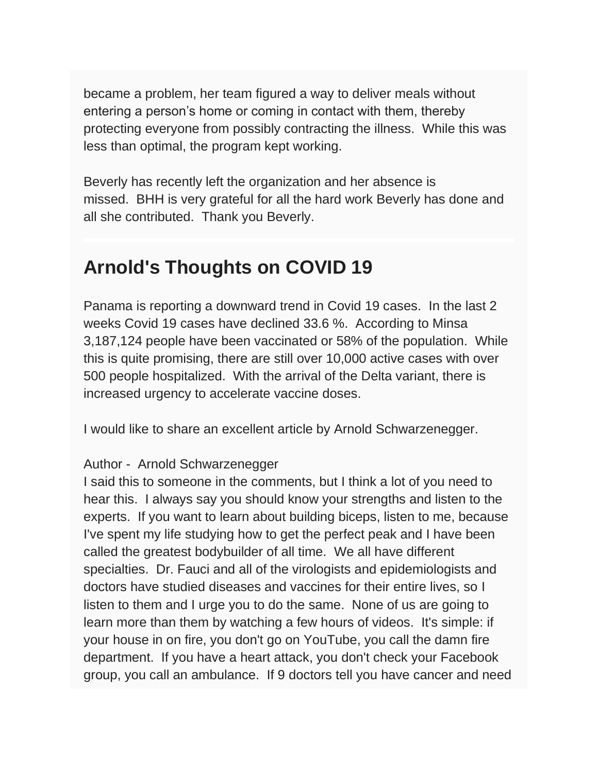became a problem, her team figured a way to deliver meals without entering a person's home or coming in contact with them, thereby protecting everyone from possibly contracting the illness. While this was less than optimal, the program kept working.

Beverly has recently left the organization and her absence is missed. BHH is very grateful for all the hard work Beverly has done and all she contributed. Thank you Beverly.

## **Arnold's Thoughts on COVID 19**

Panama is reporting a downward trend in Covid 19 cases. In the last 2 weeks Covid 19 cases have declined 33.6 %. According to Minsa 3,187,124 people have been vaccinated or 58% of the population. While this is quite promising, there are still over 10,000 active cases with over 500 people hospitalized. With the arrival of the Delta variant, there is increased urgency to accelerate vaccine doses.

I would like to share an excellent article by Arnold Schwarzenegger.

#### Author - Arnold Schwarzenegger

I said this to someone in the comments, but I think a lot of you need to hear this. I always say you should know your strengths and listen to the experts. If you want to learn about building biceps, listen to me, because I've spent my life studying how to get the perfect peak and I have been called the greatest bodybuilder of all time. We all have different specialties. Dr. Fauci and all of the virologists and epidemiologists and doctors have studied diseases and vaccines for their entire lives, so I listen to them and I urge you to do the same. None of us are going to learn more than them by watching a few hours of videos. It's simple: if your house in on fire, you don't go on YouTube, you call the damn fire department. If you have a heart attack, you don't check your Facebook group, you call an ambulance. If 9 doctors tell you have cancer and need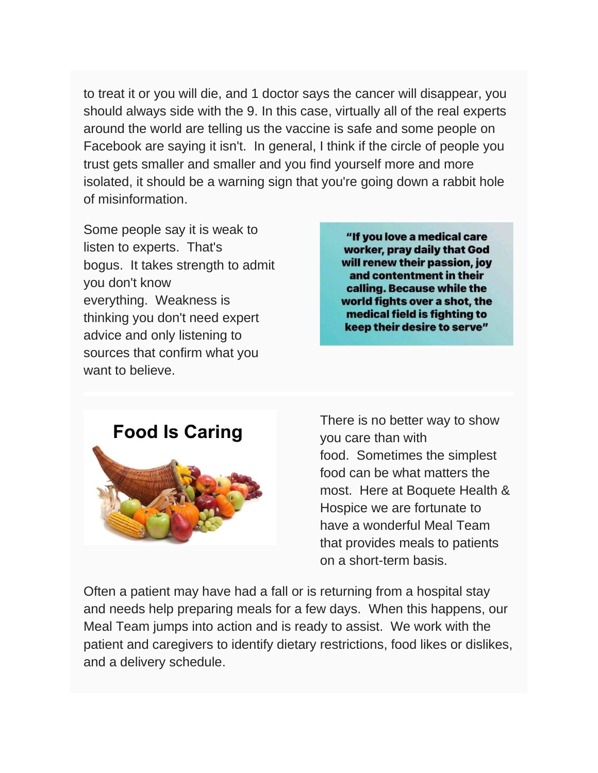to treat it or you will die, and 1 doctor says the cancer will disappear, you should always side with the 9. In this case, virtually all of the real experts around the world are telling us the vaccine is safe and some people on Facebook are saying it isn't. In general, I think if the circle of people you trust gets smaller and smaller and you find yourself more and more isolated, it should be a warning sign that you're going down a rabbit hole of misinformation.

Some people say it is weak to listen to experts. That's bogus. It takes strength to admit you don't know everything. Weakness is thinking you don't need expert advice and only listening to sources that confirm what you want to believe.

"If you love a medical care worker, pray daily that God will renew their passion, joy and contentment in their calling. Because while the world fights over a shot, the medical field is fighting to keep their desire to serve"



There is no better way to show you care than with food. Sometimes the simplest food can be what matters the most. Here at Boquete Health & Hospice we are fortunate to have a wonderful Meal Team that provides meals to patients on a short-term basis.

Often a patient may have had a fall or is returning from a hospital stay and needs help preparing meals for a few days. When this happens, our Meal Team jumps into action and is ready to assist. We work with the patient and caregivers to identify dietary restrictions, food likes or dislikes, and a delivery schedule.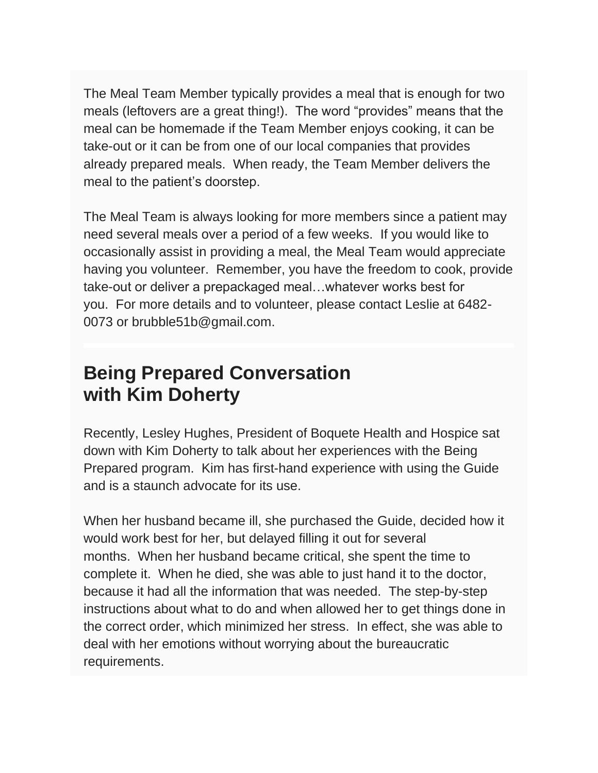The Meal Team Member typically provides a meal that is enough for two meals (leftovers are a great thing!). The word "provides" means that the meal can be homemade if the Team Member enjoys cooking, it can be take-out or it can be from one of our local companies that provides already prepared meals. When ready, the Team Member delivers the meal to the patient's doorstep.

The Meal Team is always looking for more members since a patient may need several meals over a period of a few weeks. If you would like to occasionally assist in providing a meal, the Meal Team would appreciate having you volunteer. Remember, you have the freedom to cook, provide take-out or deliver a prepackaged meal…whatever works best for you. For more details and to volunteer, please contact Leslie at 6482- 0073 or brubble51b@gmail.com.

### **Being Prepared Conversation with Kim Doherty**

Recently, Lesley Hughes, President of Boquete Health and Hospice sat down with Kim Doherty to talk about her experiences with the Being Prepared program. Kim has first-hand experience with using the Guide and is a staunch advocate for its use.

When her husband became ill, she purchased the Guide, decided how it would work best for her, but delayed filling it out for several months. When her husband became critical, she spent the time to complete it. When he died, she was able to just hand it to the doctor, because it had all the information that was needed. The step-by-step instructions about what to do and when allowed her to get things done in the correct order, which minimized her stress. In effect, she was able to deal with her emotions without worrying about the bureaucratic requirements.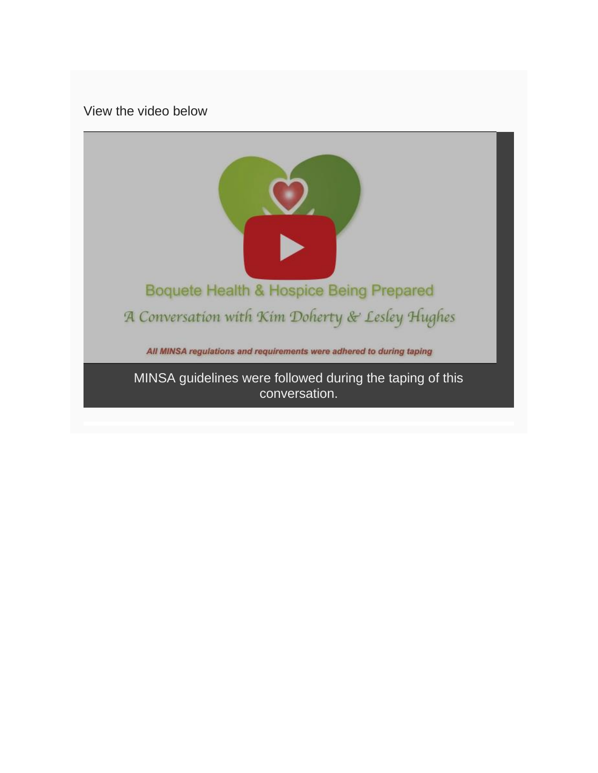View the video below

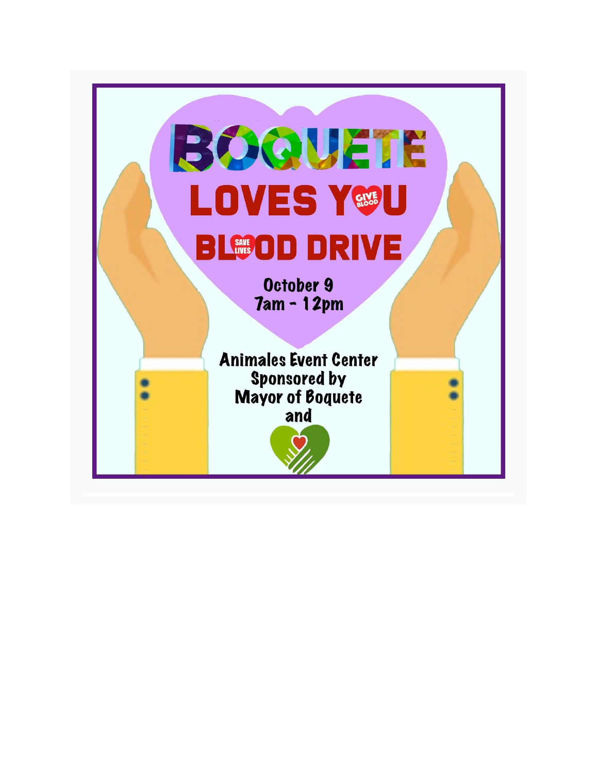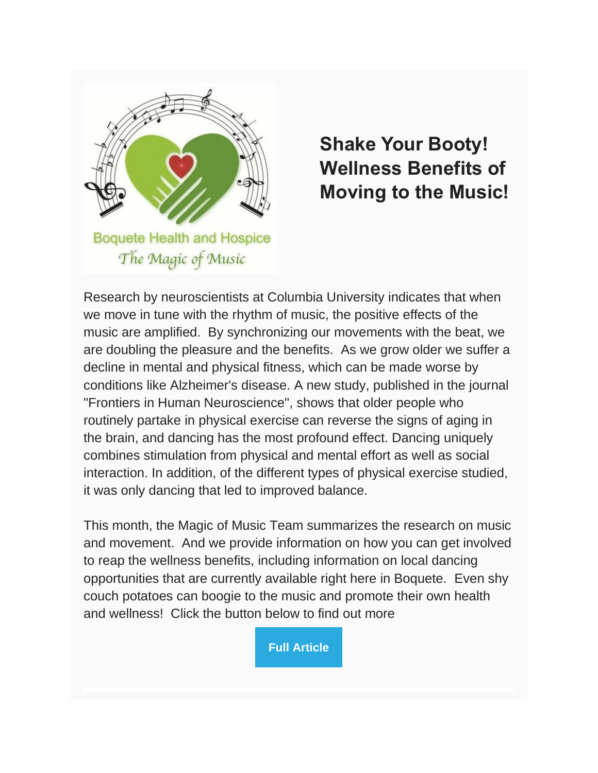

## **Shake Your Booty! Wellness Benefits of Moving to the Music!**

Research by neuroscientists at Columbia University indicates that when we move in tune with the rhythm of music, the positive effects of the music are amplified. By synchronizing our movements with the beat, we are doubling the pleasure and the benefits. As we grow older we suffer a decline in mental and physical fitness, which can be made worse by conditions like Alzheimer's disease. A new study, published in the journal "Frontiers in Human Neuroscience", shows that older people who routinely partake in physical exercise can reverse the signs of aging in the brain, and dancing has the most profound effect. Dancing uniquely combines stimulation from physical and mental effort as well as social interaction. In addition, of the different types of physical exercise studied, it was only dancing that led to improved balance.

This month, the Magic of Music Team summarizes the research on music and movement. And we provide information on how you can get involved to reap the wellness benefits, including information on local dancing opportunities that are currently available right here in Boquete. Even shy couch potatoes can boogie to the music and promote their own health and wellness! Click the button below to find out more

**[Full Article](https://boquetehealth.org/shake-your-booty)**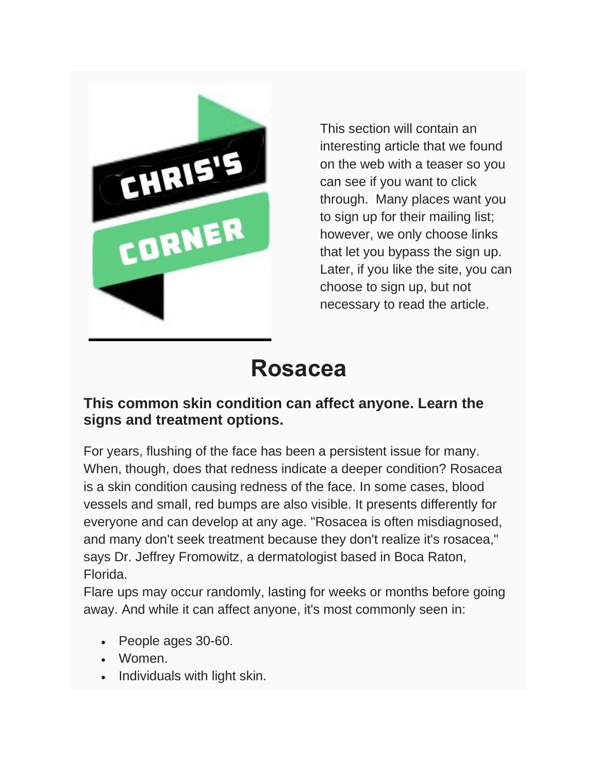

This section will contain an interesting article that we found on the web with a teaser so you can see if you want to click through. Many places want you to sign up for their mailing list; however, we only choose links that let you bypass the sign up. Later, if you like the site, you can choose to sign up, but not necessary to read the article.

# **Rosacea**

#### **This common skin condition can affect anyone. Learn the signs and treatment options.**

For years, flushing of the face has been a persistent issue for many. When, though, does that redness indicate a deeper condition? Rosacea is a skin condition causing redness of the face. In some cases, blood vessels and small, red bumps are also visible. It presents differently for everyone and can develop at any age. "Rosacea is often misdiagnosed, and many don't seek treatment because they don't realize it's rosacea," says Dr. Jeffrey Fromowitz, a dermatologist based in Boca Raton, Florida.

Flare ups may occur randomly, lasting for weeks or months before going away. And while it can affect anyone, it's most commonly seen in:

- People ages 30-60.
- Women.
- Individuals with light skin.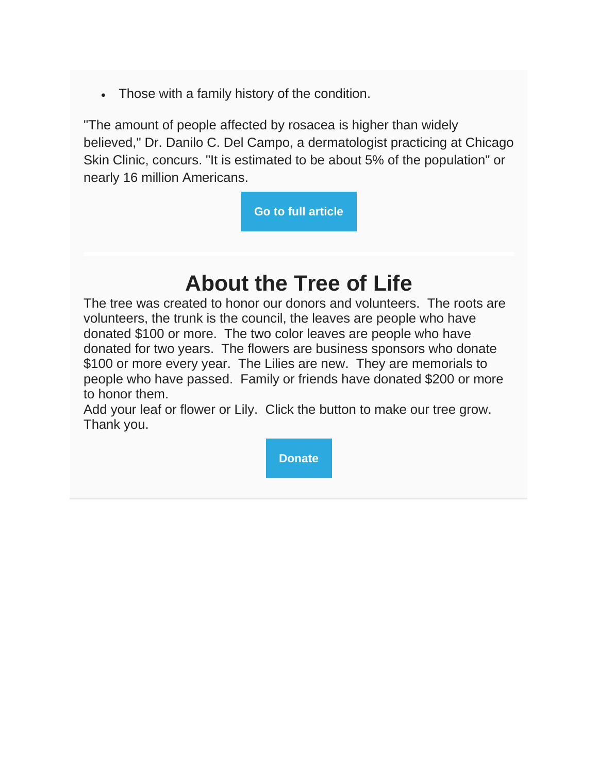• Those with a family history of the condition.

"The amount of people affected by rosacea is higher than widely believed," Dr. Danilo C. Del Campo, a dermatologist practicing at Chicago Skin Clinic, concurs. "It is estimated to be about 5% of the population" or nearly 16 million Americans.

**[Go to full article](https://health.usnews.com/health-care/patient-advice/articles/treatments-for-rosacea)**

# **About the Tree of Life**

The tree was created to honor our donors and volunteers. The roots are volunteers, the trunk is the council, the leaves are people who have donated \$100 or more. The two color leaves are people who have donated for two years. The flowers are business sponsors who donate \$100 or more every year. The Lilies are new. They are memorials to people who have passed. Family or friends have donated \$200 or more to honor them.

Add your leaf or flower or Lily. Click the button to make our tree grow. Thank you.

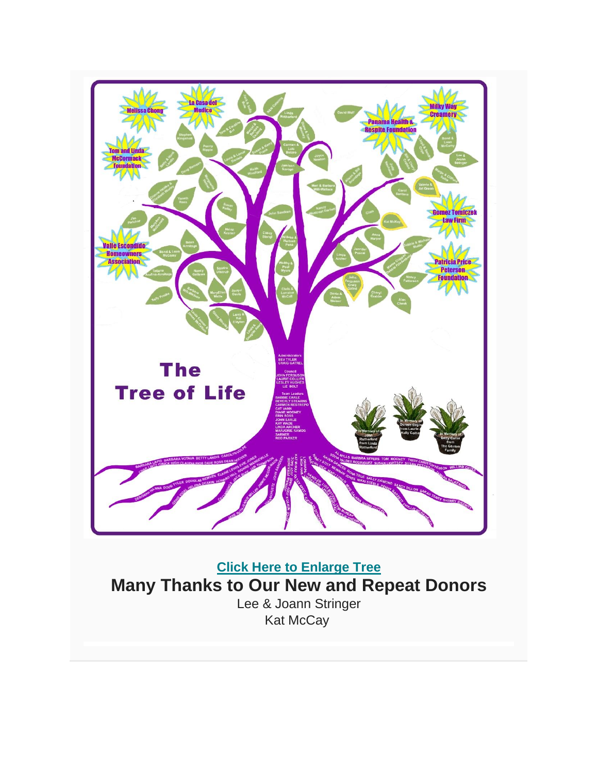

**[Click Here to Enlarge Tree](https://www.boquetehealthandhospice.org/tree.html) Many Thanks to Our New and Repeat Donors** Lee & Joann Stringer Kat McCay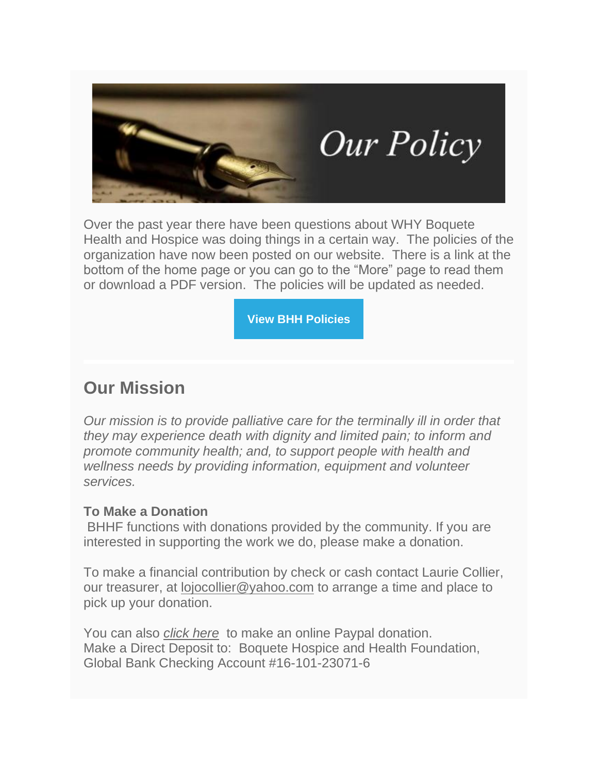

Over the past year there have been questions about WHY Boquete Health and Hospice was doing things in a certain way. The policies of the organization have now been posted on our website. There is a link at the bottom of the home page or you can go to the "More" page to read them or download a PDF version. The policies will be updated as needed.

**[View BHH Policies](https://boquetehealth.org/bhh-policies)**

### **Our Mission**

*Our mission is to provide palliative care for the terminally ill in order that they may experience death with dignity and limited pain; to inform and promote community health; and, to support people with health and wellness needs by providing information, equipment and volunteer services.*

#### **To Make a Donation**

BHHF functions with donations provided by the community. If you are interested in supporting the work we do, please make a donation.

To make a financial contribution by check or cash contact Laurie Collier, our treasurer, at [lojocollier@yahoo.com](mailto:lojocollier@yahoo.com?subject=Donation%20Information) to arrange a time and place to pick up your donation.

You can also *[click here](https://boquetehealth.org/please-donate)* to make an online Paypal donation. Make a Direct Deposit to: Boquete Hospice and Health Foundation, Global Bank Checking Account #16-101-23071-6